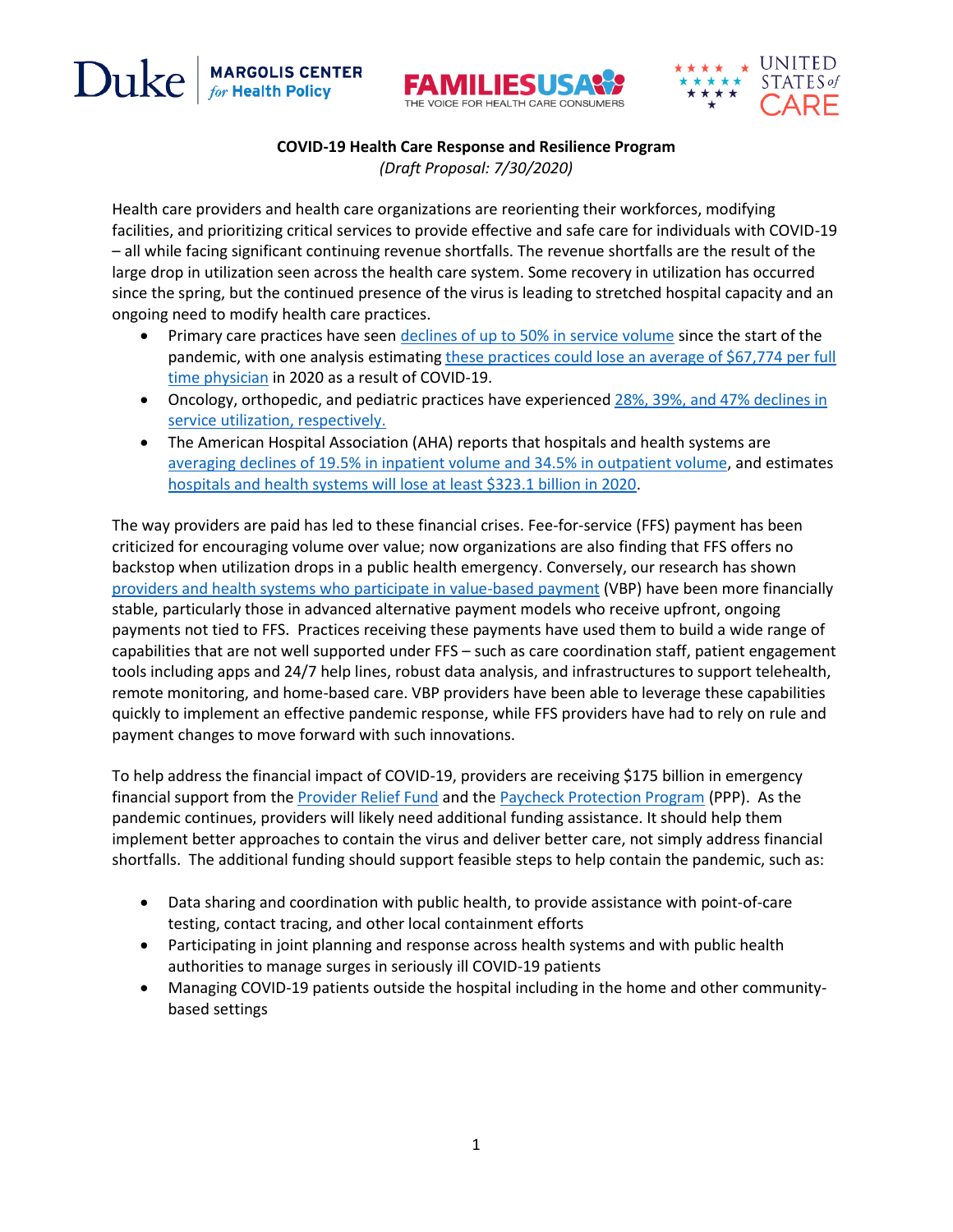Duke **MARGOLIS CENTER**<br>for Health Policy





## **COVID-19 Health Care Response and Resilience Program**

*(Draft Proposal: 7/30/2020)*

Health care providers and health care organizations are reorienting their workforces, modifying facilities, and prioritizing critical services to provide effective and safe care for individuals with COVID-19 – all while facing significant continuing revenue shortfalls. The revenue shortfalls are the result of the large drop in utilization seen across the health care system. Some recovery in utilization has occurred since the spring, but the continued presence of the virus is leading to stretched hospital capacity and an ongoing need to modify health care practices.

- Primary care practices have seen [declines of up to 50% in service volume](https://www.commonwealthfund.org/publications/2020/apr/impact-covid-19-outpatient-visits) since the start of the pandemic, with one analysis estimating these practices could lose an average of \$67,774 per full [time physician](https://www-healthaffairs-org.proxy.lib.duke.edu/doi/full/10.1377/hlthaff.2020.00794) in 2020 as a result of COVID-19.
- Oncology, orthopedic, and pediatric practices have experienced 28%, 39%, and 47% declines in [service utilization,](file:///C:/Users/rar76/Box/Workstream%201%20Projects/COVID-19%20Work/New%20payment%20model/COVID%20Resilience%20Payment%20Program%20Table%201.docx) respectively.
- The American Hospital Association (AHA) reports that hospitals and health systems are [averaging declines of 19.5% in inpatient volume and 34.5% in outpatient volume,](https://www.aha.org/system/files/media/file/2020/06/aha-covid19-financial-impact-report.pdf) and estimates [hospitals and health systems will lose at least \\$323.1 billion in 2020.](https://www.aha.org/system/files/media/file/2020/06/aha-covid19-financial-impact-report.pdf)

The way providers are paid has led to these financial crises. Fee-for-service (FFS) payment has been criticized for encouraging volume over value; now organizations are also finding that FFS offers no backstop when utilization drops in a public health emergency. Conversely, our research has shown [providers and health systems who participate in value-based payment](https://healthpolicy.duke.edu/sites/default/files/2020-07/best_practices_brief_final.pdf) (VBP) have been more financially stable, particularly those in advanced alternative payment models who receive upfront, ongoing payments not tied to FFS. Practices receiving these payments have used them to build a wide range of capabilities that are not well supported under FFS – such as care coordination staff, patient engagement tools including apps and 24/7 help lines, robust data analysis, and infrastructures to support telehealth, remote monitoring, and home-based care. VBP providers have been able to leverage these capabilities quickly to implement an effective pandemic response, while FFS providers have had to rely on rule and payment changes to move forward with such innovations.

To help address the financial impact of COVID-19, providers are receiving \$175 billion in emergency financial support from the [Provider Relief Fund](https://www.hhs.gov/coronavirus/cares-act-provider-relief-fund/general-information/index.html) and the [Paycheck Protection Program](https://www.sba.gov/funding-programs/loans/coronavirus-relief-options/paycheck-protection-programhttps:/www.sba.gov/funding-programs/loans/coronavirus-relief-options/paycheck-protection-program) (PPP). As the pandemic continues, providers will likely need additional funding assistance. It should help them implement better approaches to contain the virus and deliver better care, not simply address financial shortfalls. The additional funding should support feasible steps to help contain the pandemic, such as:

- Data sharing and coordination with public health, to provide assistance with point-of-care testing, contact tracing, and other local containment efforts
- Participating in joint planning and response across health systems and with public health authorities to manage surges in seriously ill COVID-19 patients
- Managing COVID-19 patients outside the hospital including in the home and other communitybased settings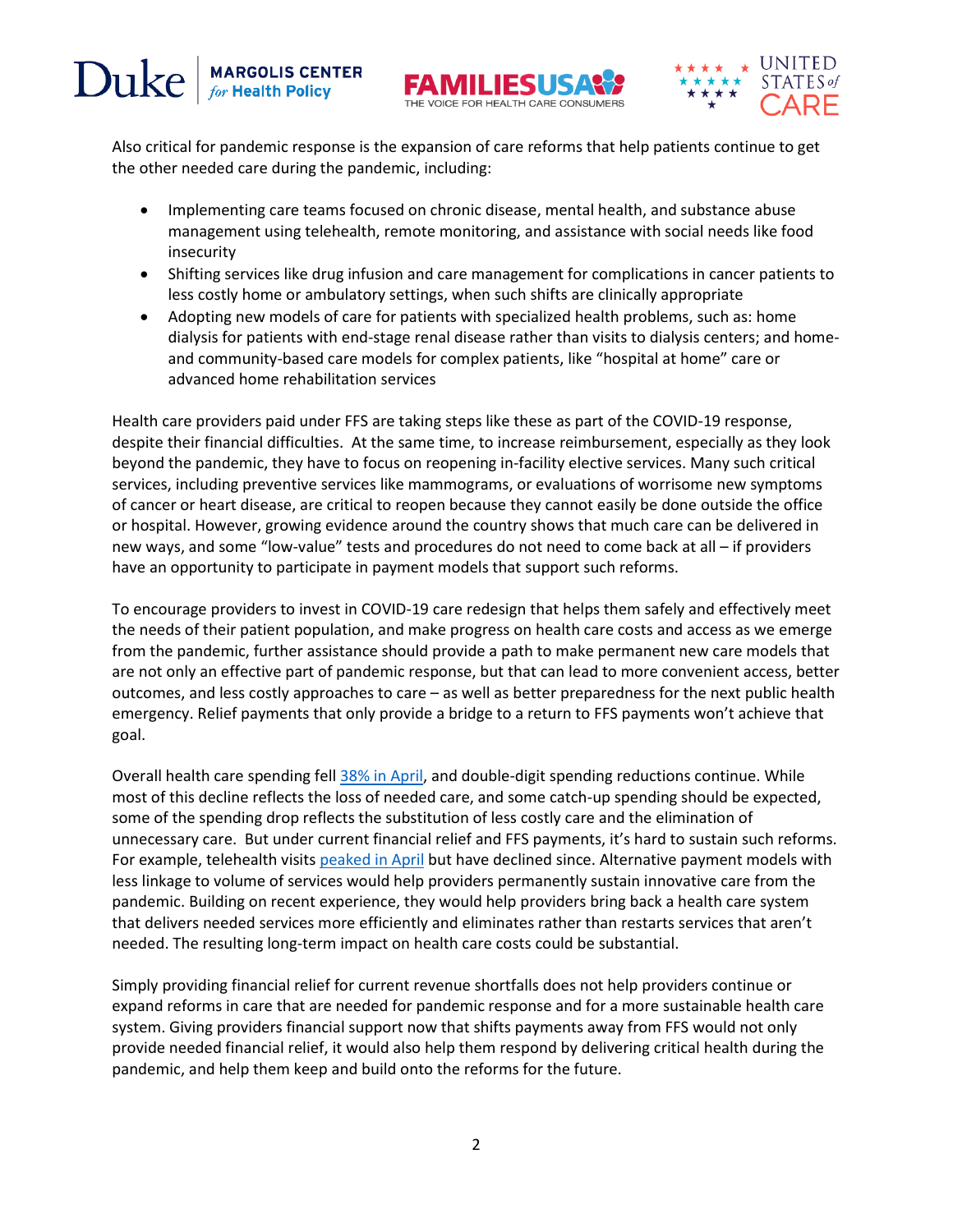





Also critical for pandemic response is the expansion of care reforms that help patients continue to get the other needed care during the pandemic, including:

- Implementing care teams focused on chronic disease, mental health, and substance abuse management using telehealth, remote monitoring, and assistance with social needs like food insecurity
- Shifting services like drug infusion and care management for complications in cancer patients to less costly home or ambulatory settings, when such shifts are clinically appropriate
- Adopting new models of care for patients with specialized health problems, such as: home dialysis for patients with end-stage renal disease rather than visits to dialysis centers; and homeand community-based care models for complex patients, like "hospital at home" care or advanced home rehabilitation services

Health care providers paid under FFS are taking steps like these as part of the COVID-19 response, despite their financial difficulties. At the same time, to increase reimbursement, especially as they look beyond the pandemic, they have to focus on reopening in-facility elective services. Many such critical services, including preventive services like mammograms, or evaluations of worrisome new symptoms of cancer or heart disease, are critical to reopen because they cannot easily be done outside the office or hospital. However, growing evidence around the country shows that much care can be delivered in new ways, and some "low-value" tests and procedures do not need to come back at all – if providers have an opportunity to participate in payment models that support such reforms.

To encourage providers to invest in COVID-19 care redesign that helps them safely and effectively meet the needs of their patient population, and make progress on health care costs and access as we emerge from the pandemic, further assistance should provide a path to make permanent new care models that are not only an effective part of pandemic response, but that can lead to more convenient access, better outcomes, and less costly approaches to care – as well as better preparedness for the next public health emergency. Relief payments that only provide a bridge to a return to FFS payments won't achieve that goal.

Overall health care spending fel[l 38% in April,](https://www.healthsystemtracker.org/chart-collection/how-have-healthcare-utilization-and-spending-changed-so-far-during-the-coronavirus-pandemic/#item-year-over-year-percent-change-in-personal-consumption-expenditures-on-health-care-services-january-1960-april-2020) and double-digit spending reductions continue. While most of this decline reflects the loss of needed care, and some catch-up spending should be expected, some of the spending drop reflects the substitution of less costly care and the elimination of unnecessary care. But under current financial relief and FFS payments, it's hard to sustain such reforms. For example, telehealth visit[s peaked in April](https://www.commonwealthfund.org/publications/2020/apr/impact-covid-19-outpatient-visits) but have declined since. Alternative payment models with less linkage to volume of services would help providers permanently sustain innovative care from the pandemic. Building on recent experience, they would help providers bring back a health care system that delivers needed services more efficiently and eliminates rather than restarts services that aren't needed. The resulting long-term impact on health care costs could be substantial.

Simply providing financial relief for current revenue shortfalls does not help providers continue or expand reforms in care that are needed for pandemic response and for a more sustainable health care system. Giving providers financial support now that shifts payments away from FFS would not only provide needed financial relief, it would also help them respond by delivering critical health during the pandemic, and help them keep and build onto the reforms for the future.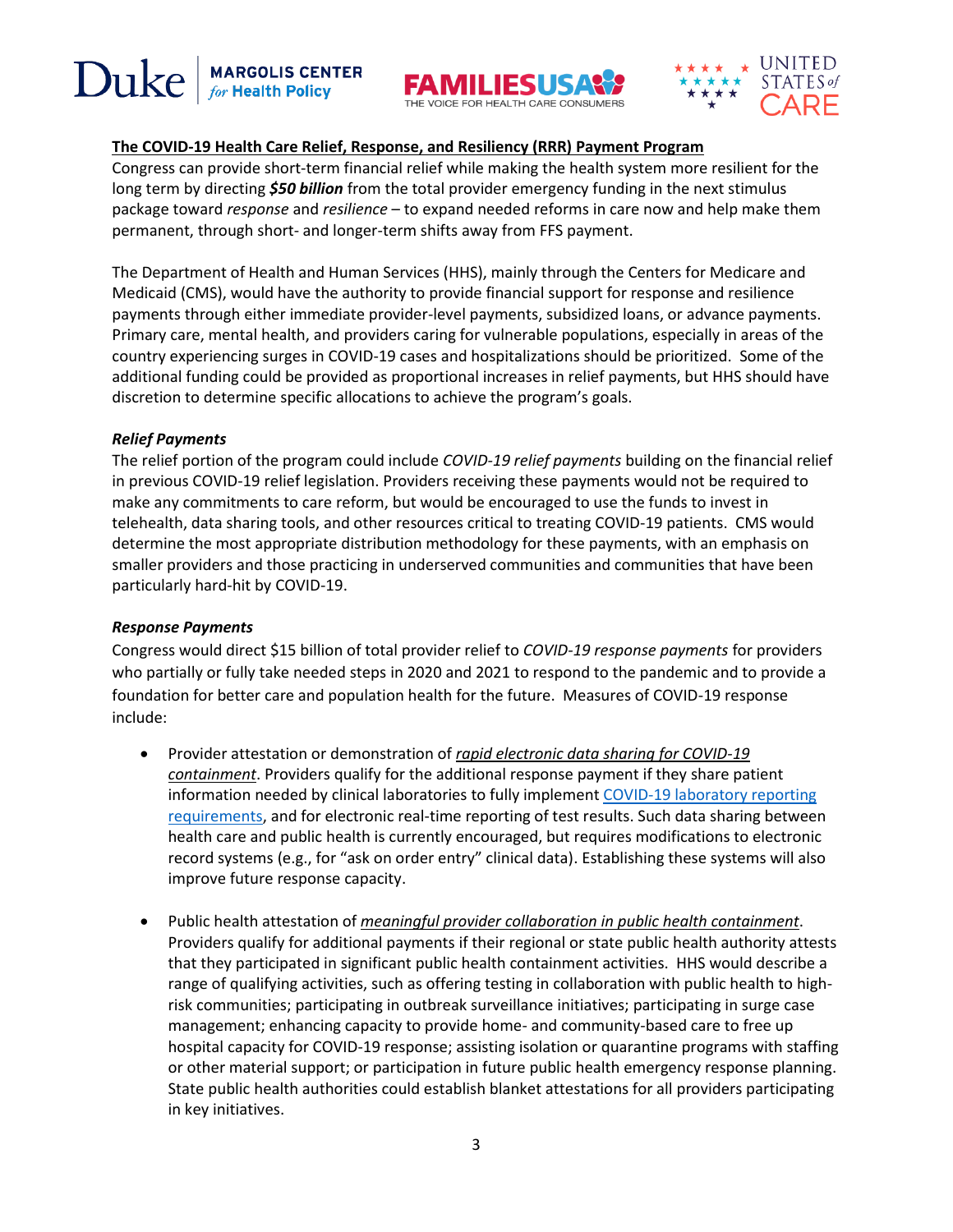Duke **MARGOLIS CENTER**<br>for Health Policy





# **The COVID-19 Health Care Relief, Response, and Resiliency (RRR) Payment Program**

Congress can provide short-term financial relief while making the health system more resilient for the long term by directing *\$50 billion* from the total provider emergency funding in the next stimulus package toward *response* and *resilience* – to expand needed reforms in care now and help make them permanent, through short- and longer-term shifts away from FFS payment.

The Department of Health and Human Services (HHS), mainly through the Centers for Medicare and Medicaid (CMS), would have the authority to provide financial support for response and resilience payments through either immediate provider-level payments, subsidized loans, or advance payments. Primary care, mental health, and providers caring for vulnerable populations, especially in areas of the country experiencing surges in COVID-19 cases and hospitalizations should be prioritized. Some of the additional funding could be provided as proportional increases in relief payments, but HHS should have discretion to determine specific allocations to achieve the program's goals.

## *Relief Payments*

The relief portion of the program could include *COVID-19 relief payments* building on the financial relief in previous COVID-19 relief legislation. Providers receiving these payments would not be required to make any commitments to care reform, but would be encouraged to use the funds to invest in telehealth, data sharing tools, and other resources critical to treating COVID-19 patients. CMS would determine the most appropriate distribution methodology for these payments, with an emphasis on smaller providers and those practicing in underserved communities and communities that have been particularly hard-hit by COVID-19.

# *Response Payments*

Congress would direct \$15 billion of total provider relief to *COVID-19 response payments* for providers who partially or fully take needed steps in 2020 and 2021 to respond to the pandemic and to provide a foundation for better care and population health for the future. Measures of COVID-19 response include:

- Provider attestation or demonstration of *rapid electronic data sharing for COVID-19 containment*. Providers qualify for the additional response payment if they share patient information needed by clinical laboratories to fully implemen[t COVID-19 laboratory reporting](https://www.cdc.gov/coronavirus/2019-ncov/lab/reporting-lab-data.html)  [requirements,](https://www.cdc.gov/coronavirus/2019-ncov/lab/reporting-lab-data.html) and for electronic real-time reporting of test results. Such data sharing between health care and public health is currently encouraged, but requires modifications to electronic record systems (e.g., for "ask on order entry" clinical data). Establishing these systems will also improve future response capacity.
- Public health attestation of *meaningful provider collaboration in public health containment*. Providers qualify for additional payments if their regional or state public health authority attests that they participated in significant public health containment activities. HHS would describe a range of qualifying activities, such as offering testing in collaboration with public health to highrisk communities; participating in outbreak surveillance initiatives; participating in surge case management; enhancing capacity to provide home- and community-based care to free up hospital capacity for COVID-19 response; assisting isolation or quarantine programs with staffing or other material support; or participation in future public health emergency response planning. State public health authorities could establish blanket attestations for all providers participating in key initiatives.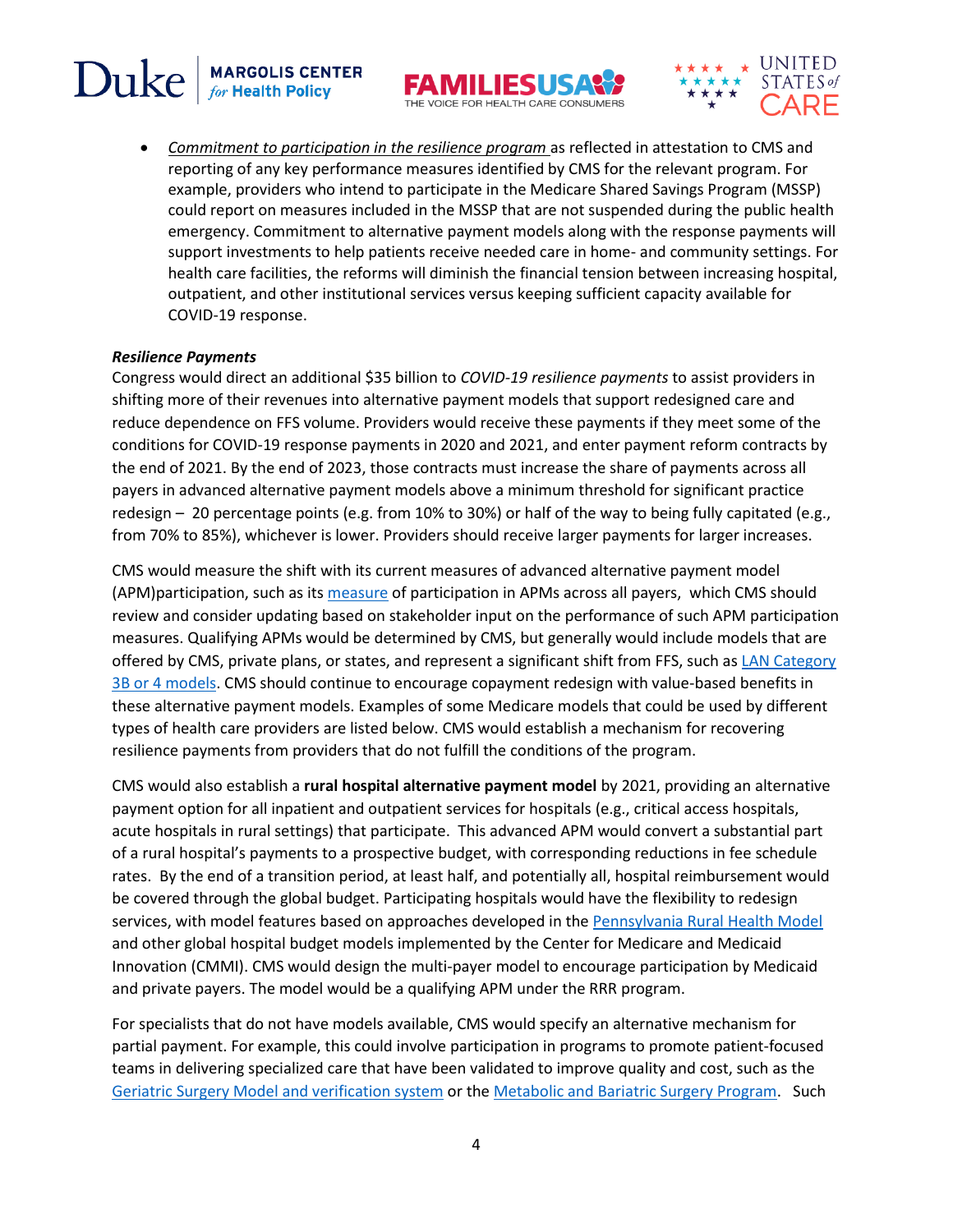



• *Commitment to participation in the resilience program* as reflected in attestation to CMS and reporting of any key performance measures identified by CMS for the relevant program. For example, providers who intend to participate in the Medicare Shared Savings Program (MSSP) could report on measures included in the MSSP that are not suspended during the public health emergency. Commitment to alternative payment models along with the response payments will support investments to help patients receive needed care in home- and community settings. For health care facilities, the reforms will diminish the financial tension between increasing hospital, outpatient, and other institutional services versus keeping sufficient capacity available for COVID-19 response.

### *Resilience Payments*

Duke

**MARGOLIS CENTER**<br>for Health Policy

Congress would direct an additional \$35 billion to *COVID-19 resilience payments* to assist providers in shifting more of their revenues into alternative payment models that support redesigned care and reduce dependence on FFS volume. Providers would receive these payments if they meet some of the conditions for COVID-19 response payments in 2020 and 2021, and enter payment reform contracts by the end of 2021. By the end of 2023, those contracts must increase the share of payments across all payers in advanced alternative payment models above a minimum threshold for significant practice redesign – 20 percentage points (e.g. from 10% to 30%) or half of the way to being fully capitated (e.g., from 70% to 85%), whichever is lower. Providers should receive larger payments for larger increases.

CMS would measure the shift with its current measures of advanced alternative payment model (APM)participation, such as it[s measure](https://qpp.cms.gov/apms/all-payer-advanced-apms) of participation in APMs across all payers, which CMS should review and consider updating based on stakeholder input on the performance of such APM participation measures. Qualifying APMs would be determined by CMS, but generally would include models that are offered by CMS, private plans, or states, and represent a significant shift from FFS, such a[s LAN Category](http://hcp-lan.org/workproducts/apm-framework-onepager.pdf)  [3B or 4 models.](http://hcp-lan.org/workproducts/apm-framework-onepager.pdf) CMS should continue to encourage copayment redesign with value-based benefits in these alternative payment models. Examples of some Medicare models that could be used by different types of health care providers are listed below. CMS would establish a mechanism for recovering resilience payments from providers that do not fulfill the conditions of the program.

CMS would also establish a **rural hospital alternative payment model** by 2021, providing an alternative payment option for all inpatient and outpatient services for hospitals (e.g., critical access hospitals, acute hospitals in rural settings) that participate. This advanced APM would convert a substantial part of a rural hospital's payments to a prospective budget, with corresponding reductions in fee schedule rates. By the end of a transition period, at least half, and potentially all, hospital reimbursement would be covered through the global budget. Participating hospitals would have the flexibility to redesign services, with model features based on approaches developed in the [Pennsylvania Rural Health Model](https://innovation.cms.gov/innovation-models/pa-rural-health-model) and other global hospital budget models implemented by the Center for Medicare and Medicaid Innovation (CMMI). CMS would design the multi-payer model to encourage participation by Medicaid and private payers. The model would be a qualifying APM under the RRR program.

For specialists that do not have models available, CMS would specify an alternative mechanism for partial payment. For example, this could involve participation in programs to promote patient-focused teams in delivering specialized care that have been validated to improve quality and cost, such as th[e](https://www.facs.org/quality-programs/geriatric-surgery) [Geriatric Surgery Model and verification system](https://www.facs.org/quality-programs/geriatric-surgery) or the [Metabolic and Bariatric Surgery Program.](https://asmbs.org/about/mbsaqip) Such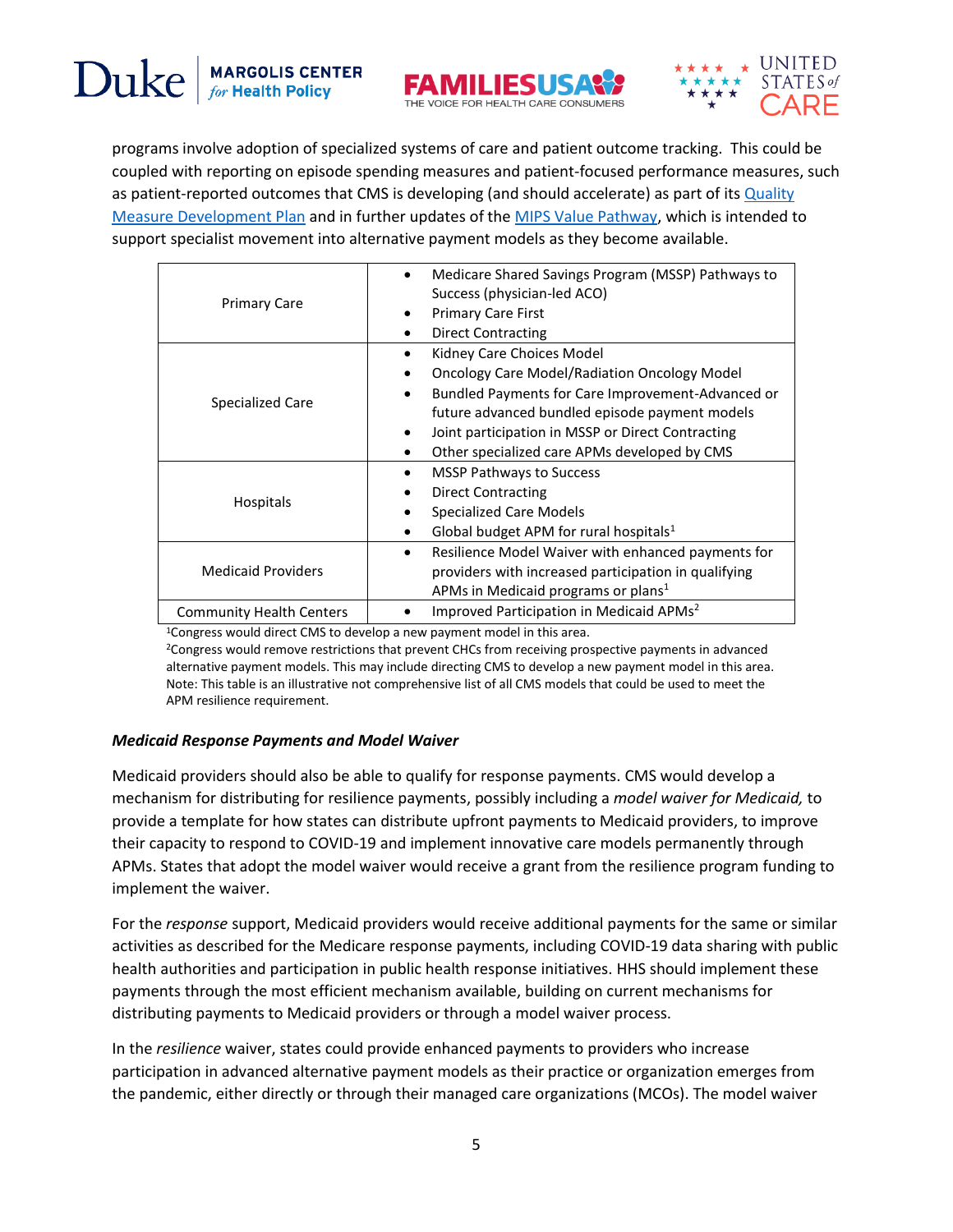



programs involve adoption of specialized systems of care and patient outcome tracking. This could be coupled with reporting on episode spending measures and patient-focused performance measures, such as patient-reported outcomes that CMS is developing (and should accelerate) as part of its Quality [Measure Development Plan](https://www.cms.gov/Medicare/Quality-Payment-Program/Measure-Development/Measure-development) and in further updates of th[e MIPS Value Pathway,](https://qpp.cms.gov/mips/mips-value-pathways) which is intended to support specialist movement into alternative payment models as they become available.

| <b>Primary Care</b>             | Medicare Shared Savings Program (MSSP) Pathways to<br>Success (physician-led ACO)<br><b>Primary Care First</b><br>$\bullet$<br><b>Direct Contracting</b><br>$\bullet$                                                                                                                                     |
|---------------------------------|-----------------------------------------------------------------------------------------------------------------------------------------------------------------------------------------------------------------------------------------------------------------------------------------------------------|
| Specialized Care                | Kidney Care Choices Model<br><b>Oncology Care Model/Radiation Oncology Model</b><br>Bundled Payments for Care Improvement-Advanced or<br>future advanced bundled episode payment models<br>Joint participation in MSSP or Direct Contracting<br>$\bullet$<br>Other specialized care APMs developed by CMS |
| Hospitals                       | <b>MSSP Pathways to Success</b><br>٠<br><b>Direct Contracting</b><br>٠<br><b>Specialized Care Models</b><br>Global budget APM for rural hospitals $1$                                                                                                                                                     |
| <b>Medicaid Providers</b>       | Resilience Model Waiver with enhanced payments for<br>$\bullet$<br>providers with increased participation in qualifying<br>APMs in Medicaid programs or plans <sup>1</sup>                                                                                                                                |
| <b>Community Health Centers</b> | Improved Participation in Medicaid APMs <sup>2</sup>                                                                                                                                                                                                                                                      |

<sup>1</sup>Congress would direct CMS to develop a new payment model in this area.

<sup>2</sup>Congress would remove restrictions that prevent CHCs from receiving prospective payments in advanced alternative payment models. This may include directing CMS to develop a new payment model in this area. Note: This table is an illustrative not comprehensive list of all CMS models that could be used to meet the APM resilience requirement.

### *Medicaid Response Payments and Model Waiver*

Medicaid providers should also be able to qualify for response payments. CMS would develop a mechanism for distributing for resilience payments, possibly including a *model waiver for Medicaid,* to provide a template for how states can distribute upfront payments to Medicaid providers, to improve their capacity to respond to COVID-19 and implement innovative care models permanently through APMs. States that adopt the model waiver would receive a grant from the resilience program funding to implement the waiver.

For the *response* support, Medicaid providers would receive additional payments for the same or similar activities as described for the Medicare response payments, including COVID-19 data sharing with public health authorities and participation in public health response initiatives. HHS should implement these payments through the most efficient mechanism available, building on current mechanisms for distributing payments to Medicaid providers or through a model waiver process.

In the *resilience* waiver, states could provide enhanced payments to providers who increase participation in advanced alternative payment models as their practice or organization emerges from the pandemic, either directly or through their managed care organizations (MCOs). The model waiver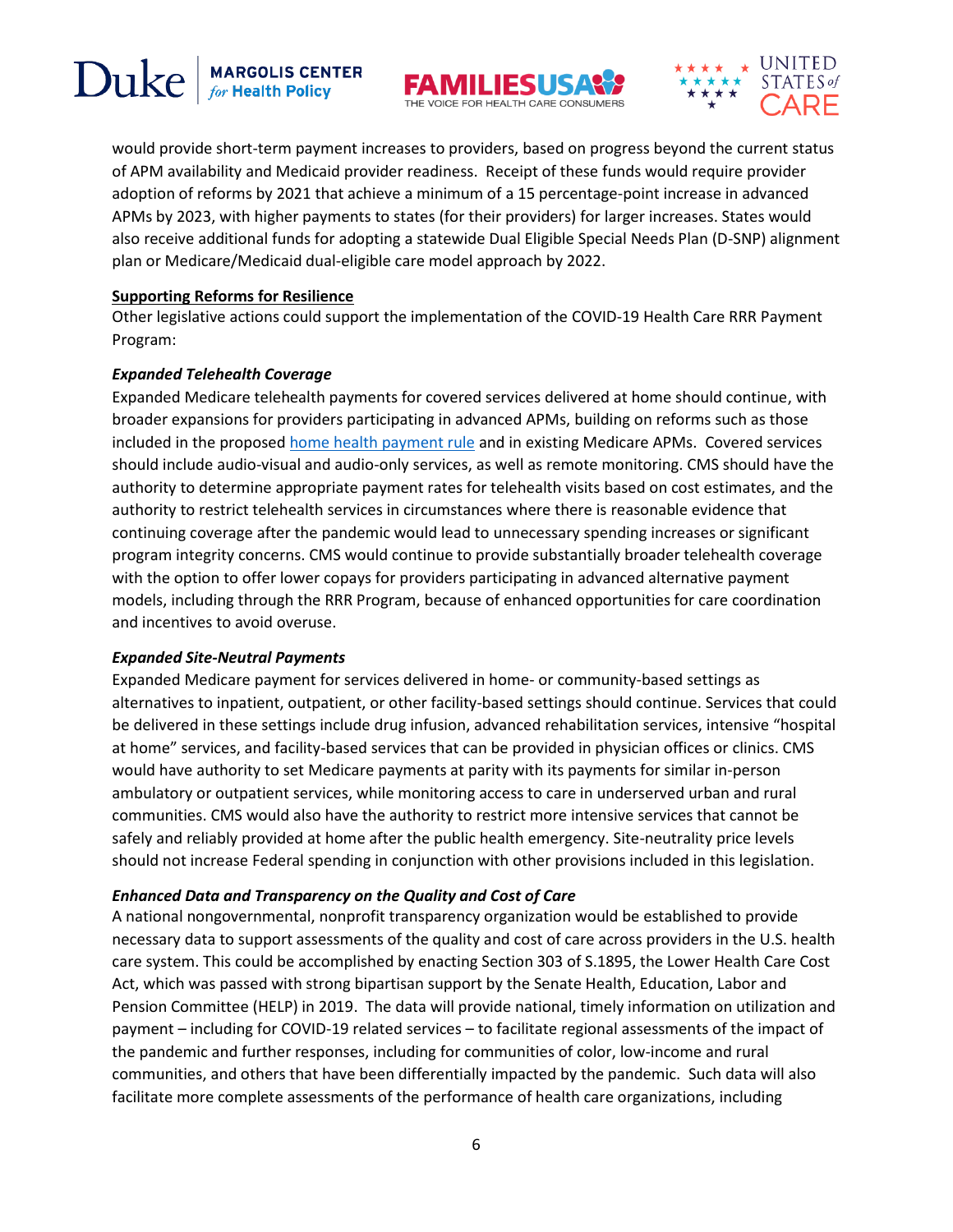# Duke **MARGOLIS CENTER**<br>for Health Policy





would provide short-term payment increases to providers, based on progress beyond the current status of APM availability and Medicaid provider readiness. Receipt of these funds would require provider adoption of reforms by 2021 that achieve a minimum of a 15 percentage-point increase in advanced APMs by 2023, with higher payments to states (for their providers) for larger increases. States would also receive additional funds for adopting a statewide Dual Eligible Special Needs Plan (D-SNP) alignment plan or Medicare/Medicaid dual-eligible care model approach by 2022.

### **Supporting Reforms for Resilience**

Other legislative actions could support the implementation of the COVID-19 Health Care RRR Payment Program:

### *Expanded Telehealth Coverage*

Expanded Medicare telehealth payments for covered services delivered at home should continue, with broader expansions for providers participating in advanced APMs, building on reforms such as those included in the proposed [home health payment rule](https://www.federalregister.gov/documents/2020/06/30/2020-13792/medicare-and-medicaid-programs-cy-2021-home-health-prospective-payment-system-rate-update-home) and in existing Medicare APMs. Covered services should include audio-visual and audio-only services, as well as remote monitoring. CMS should have the authority to determine appropriate payment rates for telehealth visits based on cost estimates, and the authority to restrict telehealth services in circumstances where there is reasonable evidence that continuing coverage after the pandemic would lead to unnecessary spending increases or significant program integrity concerns. CMS would continue to provide substantially broader telehealth coverage with the option to offer lower copays for providers participating in advanced alternative payment models, including through the RRR Program, because of enhanced opportunities for care coordination and incentives to avoid overuse.

### *Expanded Site-Neutral Payments*

Expanded Medicare payment for services delivered in home- or community-based settings as alternatives to inpatient, outpatient, or other facility-based settings should continue. Services that could be delivered in these settings include drug infusion, advanced rehabilitation services, intensive "hospital at home" services, and facility-based services that can be provided in physician offices or clinics. CMS would have authority to set Medicare payments at parity with its payments for similar in-person ambulatory or outpatient services, while monitoring access to care in underserved urban and rural communities. CMS would also have the authority to restrict more intensive services that cannot be safely and reliably provided at home after the public health emergency. Site-neutrality price levels should not increase Federal spending in conjunction with other provisions included in this legislation.

### *Enhanced Data and Transparency on the Quality and Cost of Care*

A national nongovernmental, nonprofit transparency organization would be established to provide necessary data to support assessments of the quality and cost of care across providers in the U.S. health care system. This could be accomplished by enacting Section 303 of S.1895, the Lower Health Care Cost Act, which was passed with strong bipartisan support by the Senate Health, Education, Labor and Pension Committee (HELP) in 2019. The data will provide national, timely information on utilization and payment – including for COVID-19 related services – to facilitate regional assessments of the impact of the pandemic and further responses, including for communities of color, low-income and rural communities, and others that have been differentially impacted by the pandemic. Such data will also facilitate more complete assessments of the performance of health care organizations, including